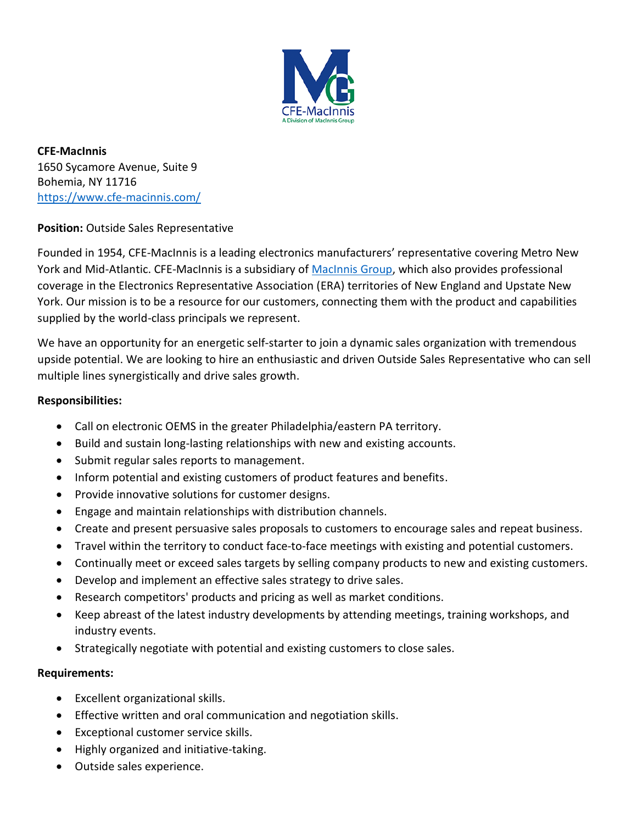

**CFE-MacInnis** 1650 Sycamore Avenue, Suite 9 Bohemia, NY 11716 <https://www.cfe-macinnis.com/>

**Position:** Outside Sales Representative

Founded in 1954, CFE-MacInnis is a leading electronics manufacturers' representative covering Metro New York and Mid-Atlantic. CFE-MacInnis is a subsidiary of [MacInnis Group,](https://macinnis-group.com/) which also provides professional coverage in the Electronics Representative Association (ERA) territories of New England and Upstate New York. Our mission is to be a resource for our customers, connecting them with the product and capabilities supplied by the world-class principals we represent.

We have an opportunity for an energetic self-starter to join a dynamic sales organization with tremendous upside potential. We are looking to hire an enthusiastic and driven Outside Sales Representative who can sell multiple lines synergistically and drive sales growth.

## **Responsibilities:**

- Call on electronic OEMS in the greater Philadelphia/eastern PA territory.
- Build and sustain long-lasting relationships with new and existing accounts.
- Submit regular sales reports to management.
- Inform potential and existing customers of product features and benefits.
- Provide innovative solutions for customer designs.
- Engage and maintain relationships with distribution channels.
- Create and present persuasive sales proposals to customers to encourage sales and repeat business.
- Travel within the territory to conduct face-to-face meetings with existing and potential customers.
- Continually meet or exceed sales targets by selling company products to new and existing customers.
- Develop and implement an effective sales strategy to drive sales.
- Research competitors' products and pricing as well as market conditions.
- Keep abreast of the latest industry developments by attending meetings, training workshops, and industry events.
- Strategically negotiate with potential and existing customers to close sales.

## **Requirements:**

- Excellent organizational skills.
- Effective written and oral communication and negotiation skills.
- Exceptional customer service skills.
- Highly organized and initiative-taking.
- Outside sales experience.